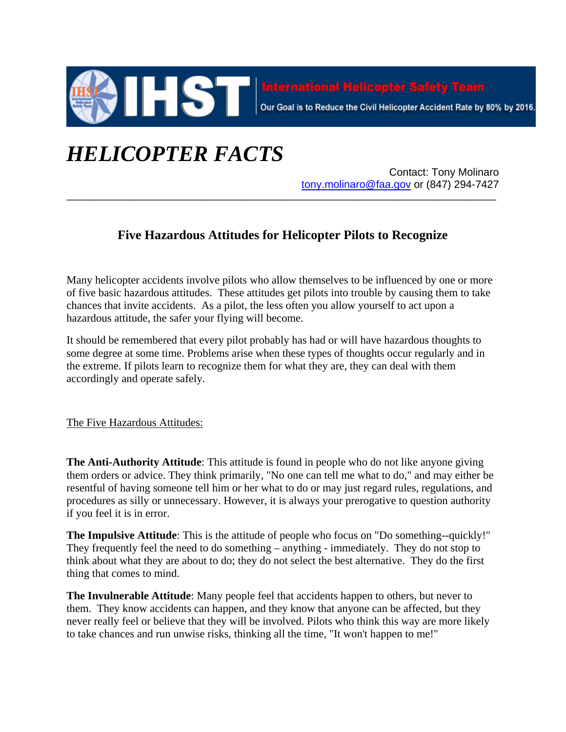

Our Goal is to Reduce the Civil Helicopter Accident Rate by 80% by 2016.

## *HELICOPTER FACTS*

Contact: Tony Molinaro tony.molinaro@faa.gov or (847) 294-7427

## **Five Hazardous Attitudes for Helicopter Pilots to Recognize**

**\_\_\_\_\_\_\_\_\_\_\_\_\_\_\_\_\_\_\_\_\_\_\_\_\_\_\_\_\_\_\_\_\_\_\_\_\_\_\_\_\_\_\_\_\_\_\_\_\_\_\_\_\_\_\_\_\_\_\_\_\_\_\_\_\_\_\_\_\_\_\_\_\_\_\_\_\_\_\_\_\_\_\_\_\_\_\_\_\_\_\_\_\_**

Many helicopter accidents involve pilots who allow themselves to be influenced by one or more of five basic hazardous attitudes. These attitudes get pilots into trouble by causing them to take chances that invite accidents. As a pilot, the less often you allow yourself to act upon a hazardous attitude, the safer your flying will become.

It should be remembered that every pilot probably has had or will have hazardous thoughts to some degree at some time. Problems arise when these types of thoughts occur regularly and in the extreme. If pilots learn to recognize them for what they are, they can deal with them accordingly and operate safely.

The Five Hazardous Attitudes:

**The Anti-Authority Attitude**: This attitude is found in people who do not like anyone giving them orders or advice. They think primarily, "No one can tell me what to do," and may either be resentful of having someone tell him or her what to do or may just regard rules, regulations, and procedures as silly or unnecessary. However, it is always your prerogative to question authority if you feel it is in error.

**The Impulsive Attitude**: This is the attitude of people who focus on "Do something--quickly!" They frequently feel the need to do something – anything - immediately. They do not stop to think about what they are about to do; they do not select the best alternative. They do the first thing that comes to mind.

**The Invulnerable Attitude**: Many people feel that accidents happen to others, but never to them. They know accidents can happen, and they know that anyone can be affected, but they never really feel or believe that they will be involved. Pilots who think this way are more likely to take chances and run unwise risks, thinking all the time, "It won't happen to me!"